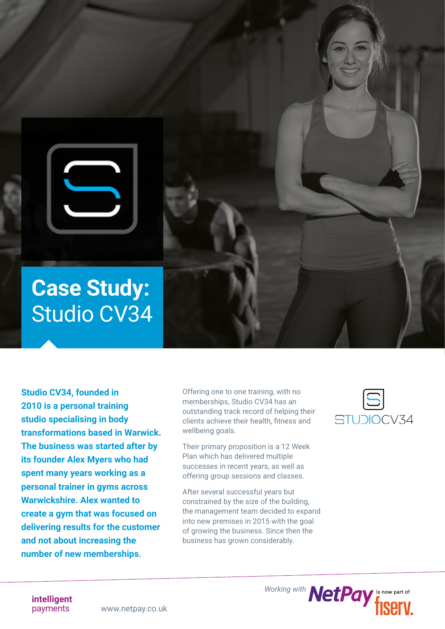

**Studio CV34, founded in 2010 is a personal training studio specialising in body transformations based in Warwick. The business was started after by its founder Alex Myers who had spent many years working as a personal trainer in gyms across Warwickshire. Alex wanted to create a gym that was focused on delivering results for the customer and not about increasing the number of new memberships.** 

Offering one to one training, with no memberships, Studio CV34 has an outstanding track record of helping their clients achieve their health, fitness and wellbeing goals.

Their primary proposition is a 12 Week Plan which has delivered multiple successes in recent years, as well as offering group sessions and classes.

After several successful years but constrained by the size of the building, the management team decided to expand into new premises in 2015 with the goal of growing the business. Since then the business has grown considerably.



Working with **NetPay**